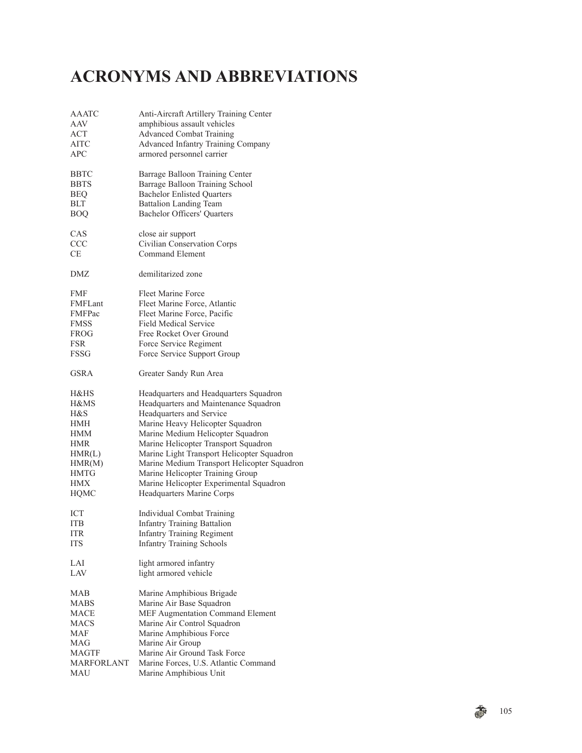## **ACRONYMS AND ABBREVIATIONS**

| <b>AAATC</b> | Anti-Aircraft Artillery Training Center                              |
|--------------|----------------------------------------------------------------------|
| AAV          | amphibious assault vehicles                                          |
| <b>ACT</b>   | <b>Advanced Combat Training</b>                                      |
| <b>AITC</b>  | Advanced Infantry Training Company                                   |
| APC          | armored personnel carrier                                            |
|              |                                                                      |
| BBTC         | Barrage Balloon Training Center                                      |
| <b>BBTS</b>  | Barrage Balloon Training School                                      |
| <b>BEQ</b>   | <b>Bachelor Enlisted Quarters</b>                                    |
| <b>BLT</b>   | <b>Battalion Landing Team</b>                                        |
| <b>BOQ</b>   | <b>Bachelor Officers' Quarters</b>                                   |
| CAS          | close air support                                                    |
| <b>CCC</b>   | Civilian Conservation Corps                                          |
| CE           | <b>Command Element</b>                                               |
| DMZ          | demilitarized zone                                                   |
| <b>FMF</b>   | Fleet Marine Force                                                   |
| FMFLant      | Fleet Marine Force, Atlantic                                         |
| FMFPac       | Fleet Marine Force, Pacific                                          |
| <b>FMSS</b>  | <b>Field Medical Service</b>                                         |
|              | Free Rocket Over Ground                                              |
| FROG         |                                                                      |
| <b>FSR</b>   | Force Service Regiment                                               |
| <b>FSSG</b>  | Force Service Support Group                                          |
| GSRA         | Greater Sandy Run Area                                               |
| H&HS         | Headquarters and Headquarters Squadron                               |
| H&MS         | Headquarters and Maintenance Squadron                                |
| H&S          | Headquarters and Service                                             |
| HMH          | Marine Heavy Helicopter Squadron                                     |
| HMM          | Marine Medium Helicopter Squadron                                    |
| <b>HMR</b>   | Marine Helicopter Transport Squadron                                 |
| HMR(L)       | Marine Light Transport Helicopter Squadron                           |
| HMR(M)       | Marine Medium Transport Helicopter Squadron                          |
| <b>HMTG</b>  | Marine Helicopter Training Group                                     |
| <b>HMX</b>   |                                                                      |
| HQMC         | Marine Helicopter Experimental Squadron<br>Headquarters Marine Corps |
|              |                                                                      |
| <b>ICT</b>   | Individual Combat Training                                           |
| ITB          | <b>Infantry Training Battalion</b>                                   |
| <b>ITR</b>   | <b>Infantry Training Regiment</b>                                    |
| <b>ITS</b>   | <b>Infantry Training Schools</b>                                     |
| LAI          | light armored infantry                                               |
| LAV          | light armored vehicle                                                |
| MAB          | Marine Amphibious Brigade                                            |
| MABS         | Marine Air Base Squadron                                             |
| <b>MACE</b>  | MEF Augmentation Command Element                                     |
| MACS         | Marine Air Control Squadron                                          |
| <b>MAF</b>   | Marine Amphibious Force                                              |
| MAG          | Marine Air Group                                                     |
| <b>MAGTF</b> | Marine Air Ground Task Force                                         |
| MARFORLANT   | Marine Forces, U.S. Atlantic Command                                 |
| <b>MAU</b>   | Marine Amphibious Unit                                               |
|              |                                                                      |